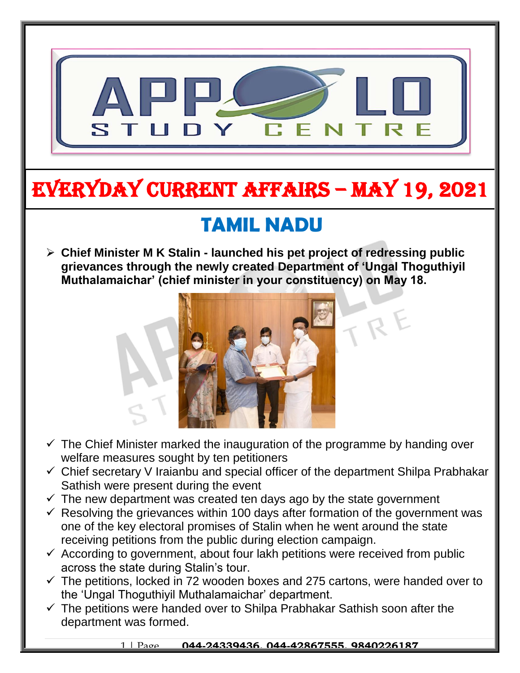

# EVERYDAY CURRENT AFFAIRS – MAY 19, 2021

## **TAMIL NADU**

-

 **Chief Minister M K Stalin - launched his pet project of redressing public grievances through the newly created Department of 'Ungal Thoguthiyil Muthalamaichar' (chief minister in your constituency) on May 18.**



- $\checkmark$  The Chief Minister marked the inauguration of the programme by handing over welfare measures sought by ten petitioners
- $\checkmark$  Chief secretary V Iraianbu and special officer of the department Shilpa Prabhakar Sathish were present during the event
- $\checkmark$  The new department was created ten days ago by the state government
- $\checkmark$  Resolving the grievances within 100 days after formation of the government was one of the key electoral promises of Stalin when he went around the state receiving petitions from the public during election campaign.
- $\checkmark$  According to government, about four lakh petitions were received from public across the state during Stalin's tour.
- $\checkmark$  The petitions, locked in 72 wooden boxes and 275 cartons, were handed over to the 'Ungal Thoguthiyil Muthalamaichar' department.
- $\checkmark$  The petitions were handed over to Shilpa Prabhakar Sathish soon after the department was formed.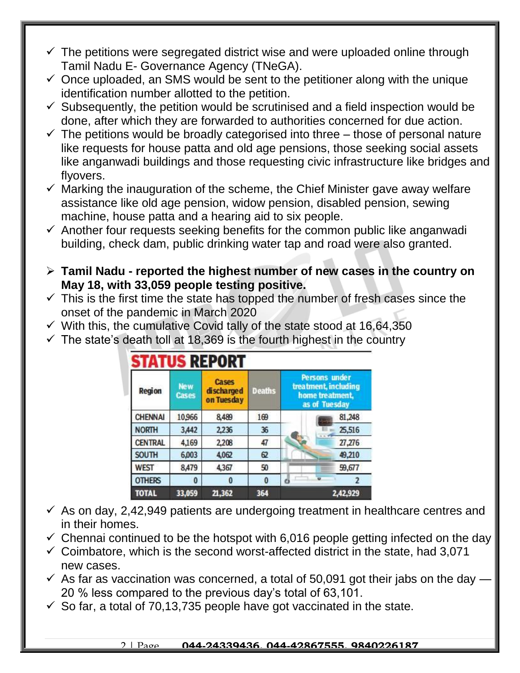- $\checkmark$  The petitions were segregated district wise and were uploaded online through Tamil Nadu E- Governance Agency (TNeGA).
- $\checkmark$  Once uploaded, an SMS would be sent to the petitioner along with the unique identification number allotted to the petition.
- $\checkmark$  Subsequently, the petition would be scrutinised and a field inspection would be done, after which they are forwarded to authorities concerned for due action.
- $\checkmark$  The petitions would be broadly categorised into three those of personal nature like requests for house patta and old age pensions, those seeking social assets like anganwadi buildings and those requesting civic infrastructure like bridges and flyovers.
- $\checkmark$  Marking the inauguration of the scheme, the Chief Minister gave away welfare assistance like old age pension, widow pension, disabled pension, sewing machine, house patta and a hearing aid to six people.
- $\checkmark$  Another four requests seeking benefits for the common public like anganwadi building, check dam, public drinking water tap and road were also granted.
- **Tamil Nadu - reported the highest number of new cases in the country on May 18, with 33,059 people testing positive.**
- $\checkmark$  This is the first time the state has topped the number of fresh cases since the onset of the pandemic in March 2020
- $\checkmark$  With this, the cumulative Covid tally of the state stood at 16,64,350
- $\checkmark$  The state's death toll at 18,369 is the fourth highest in the country

| <b>Region</b>  | <b>New</b><br><b>Cases</b> | <b>Cases</b><br>discharged<br>on Tuesday | <b>Deaths</b> |                | <b>Persons under</b><br>treatment, including<br>home treatment.<br>as of Tuesday |
|----------------|----------------------------|------------------------------------------|---------------|----------------|----------------------------------------------------------------------------------|
| <b>CHENNAI</b> | 10,966                     | 8,489                                    | 169           |                | 81,248                                                                           |
| <b>NORTH</b>   | 3,442                      | 2,236                                    | 36            |                | 25,516                                                                           |
| <b>CENTRAL</b> | 4,169                      | 2,208                                    | 47            |                | 27,276                                                                           |
| <b>SOUTH</b>   | 6,003                      | 4,062                                    | 62            |                | 49,210                                                                           |
| <b>WEST</b>    | 8,479                      | 4,367                                    | 50            |                | 59,677                                                                           |
| <b>OTHERS</b>  | $\bf{0}$                   | 0                                        | $\bf{0}$      | $\overline{a}$ | $\overline{2}$                                                                   |
| <b>TOTAL</b>   | 33,059                     | 21,362                                   | 364           |                | 2,42,929                                                                         |

- $\checkmark$  As on day, 2,42,949 patients are undergoing treatment in healthcare centres and in their homes.
- $\checkmark$  Chennai continued to be the hotspot with 6,016 people getting infected on the day
- $\checkmark$  Coimbatore, which is the second worst-affected district in the state, had 3,071 new cases.
- $\checkmark$  As far as vaccination was concerned, a total of 50,091 got their jabs on the day  $\checkmark$ 20 % less compared to the previous day's total of 63,101.
- $\checkmark$  So far, a total of 70,13,735 people have got vaccinated in the state.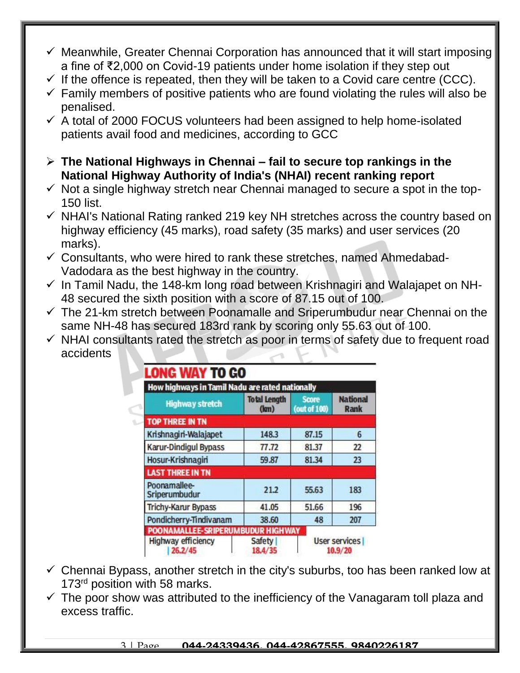- $\checkmark$  Meanwhile, Greater Chennai Corporation has announced that it will start imposing a fine of ₹2,000 on Covid-19 patients under home isolation if they step out
- $\checkmark$  If the offence is repeated, then they will be taken to a Covid care centre (CCC).
- $\checkmark$  Family members of positive patients who are found violating the rules will also be penalised.
- $\checkmark$  A total of 2000 FOCUS volunteers had been assigned to help home-isolated patients avail food and medicines, according to GCC
- **The National Highways in Chennai – fail to secure top rankings in the National Highway Authority of India's (NHAI) recent ranking report**
- $\checkmark$  Not a single highway stretch near Chennai managed to secure a spot in the top-150 list.
- $\checkmark$  NHAI's National Rating ranked 219 key NH stretches across the country based on highway efficiency (45 marks), road safety (35 marks) and user services (20 marks).
- $\checkmark$  Consultants, who were hired to rank these stretches, named Ahmedabad-Vadodara as the best highway in the country.
- $\checkmark$  In Tamil Nadu, the 148-km long road between Krishnagiri and Walajapet on NH-48 secured the sixth position with a score of 87.15 out of 100.
- $\checkmark$  The 21-km stretch between Poonamalle and Sriperumbudur near Chennai on the same NH-48 has secured 183rd rank by scoring only 55.63 out of 100.
- $\checkmark$  NHAI consultants rated the stretch as poor in terms of safety due to frequent road accidents

| <b>Highway stretch</b>        | <b>Total Length</b><br>(lm) | <b>Score</b><br>(out of 100) | <b>National</b><br>Rank |
|-------------------------------|-----------------------------|------------------------------|-------------------------|
| <b>TOP THREE IN TN</b>        |                             |                              |                         |
| Krishnagiri-Walajapet         | 148.3                       | 87.15                        | 6                       |
| <b>Karur-Dindigul Bypass</b>  | 77.72                       | 81.37                        | 22                      |
| Hosur-Krishnagiri             | 59.87                       | 81.34                        | 23                      |
| <b>LAST THREE IN TN</b>       |                             |                              |                         |
| Poonamallee-<br>Sriperumbudur | 21.2                        | 55.63                        | 183                     |
| <b>Trichy-Karur Bypass</b>    | 41.05                       | 51.66                        | 196                     |
| Pondicherry-Tindivanam        | 38.60                       | 48                           | 207                     |

- $\checkmark$  Chennai Bypass, another stretch in the city's suburbs, too has been ranked low at 173<sup>rd</sup> position with 58 marks.
- $\checkmark$  The poor show was attributed to the inefficiency of the Vanagaram toll plaza and excess traffic.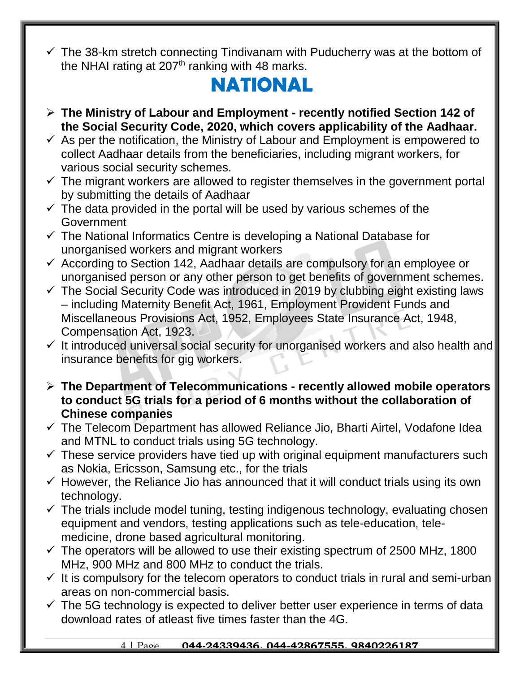$\checkmark$  The 38-km stretch connecting Tindivanam with Puducherry was at the bottom of the NHAI rating at  $207<sup>th</sup>$  ranking with 48 marks.

### **NATIONAL**

- **The Ministry of Labour and Employment - recently notified Section 142 of the Social Security Code, 2020, which covers applicability of the Aadhaar.**
- $\checkmark$  As per the notification, the Ministry of Labour and Employment is empowered to collect Aadhaar details from the beneficiaries, including migrant workers, for various social security schemes.
- $\checkmark$  The migrant workers are allowed to register themselves in the government portal by submitting the details of Aadhaar
- $\checkmark$  The data provided in the portal will be used by various schemes of the Government
- $\checkmark$  The National Informatics Centre is developing a National Database for unorganised workers and migrant workers
- $\checkmark$  According to Section 142, Aadhaar details are compulsory for an employee or unorganised person or any other person to get benefits of government schemes.
- $\checkmark$  The Social Security Code was introduced in 2019 by clubbing eight existing laws – including Maternity Benefit Act, 1961, Employment Provident Funds and Miscellaneous Provisions Act, 1952, Employees State Insurance Act, 1948, Compensation Act, 1923.
- $\checkmark$  It introduced universal social security for unorganised workers and also health and insurance benefits for gig workers.
- **The Department of Telecommunications - recently allowed mobile operators to conduct 5G trials for a period of 6 months without the collaboration of Chinese companies**
- $\checkmark$  The Telecom Department has allowed Reliance Jio, Bharti Airtel, Vodafone Idea and MTNL to conduct trials using 5G technology.
- $\checkmark$  These service providers have tied up with original equipment manufacturers such as Nokia, Ericsson, Samsung etc., for the trials
- $\checkmark$  However, the Reliance Jio has announced that it will conduct trials using its own technology.
- $\checkmark$  The trials include model tuning, testing indigenous technology, evaluating chosen equipment and vendors, testing applications such as tele-education, telemedicine, drone based agricultural monitoring.
- $\checkmark$  The operators will be allowed to use their existing spectrum of 2500 MHz, 1800 MHz, 900 MHz and 800 MHz to conduct the trials.
- $\checkmark$  It is compulsory for the telecom operators to conduct trials in rural and semi-urban areas on non-commercial basis.
- $\checkmark$  The 5G technology is expected to deliver better user experience in terms of data download rates of atleast five times faster than the 4G.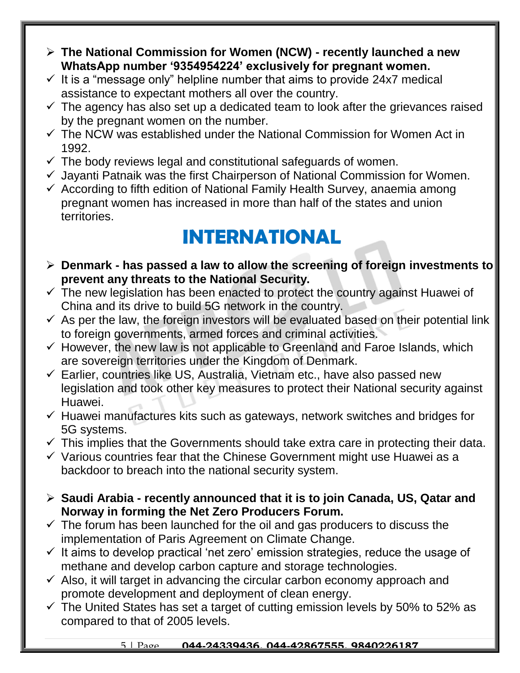- **The National Commission for Women (NCW) - recently launched a new WhatsApp number '9354954224' exclusively for pregnant women.**
- $\checkmark$  It is a "message only" helpline number that aims to provide 24x7 medical assistance to expectant mothers all over the country.
- $\checkmark$  The agency has also set up a dedicated team to look after the grievances raised by the pregnant women on the number.
- $\checkmark$  The NCW was established under the National Commission for Women Act in 1992.
- $\checkmark$  The body reviews legal and constitutional safeguards of women.
- $\checkmark$  Jayanti Patnaik was the first Chairperson of National Commission for Women.
- $\checkmark$  According to fifth edition of National Family Health Survey, anaemia among pregnant women has increased in more than half of the states and union territories.

### **INTERNATIONAL**

- **Denmark - has passed a law to allow the screening of foreign investments to prevent any threats to the National Security.**
- $\checkmark$  The new legislation has been enacted to protect the country against Huawei of China and its drive to build 5G network in the country.
- $\checkmark$  As per the law, the foreign investors will be evaluated based on their potential link to foreign governments, armed forces and criminal activities.
- $\checkmark$  However, the new law is not applicable to Greenland and Faroe Islands, which are sovereign territories under the Kingdom of Denmark.
- $\checkmark$  Earlier, countries like US, Australia, Vietnam etc., have also passed new legislation and took other key measures to protect their National security against Huawei.
- $\checkmark$  Huawei manufactures kits such as gateways, network switches and bridges for 5G systems.
- $\checkmark$  This implies that the Governments should take extra care in protecting their data.
- $\checkmark$  Various countries fear that the Chinese Government might use Huawei as a backdoor to breach into the national security system.
- **Saudi Arabia - recently announced that it is to join Canada, US, Qatar and Norway in forming the Net Zero Producers Forum.**
- $\checkmark$  The forum has been launched for the oil and gas producers to discuss the implementation of Paris Agreement on Climate Change.
- $\checkmark$  It aims to develop practical 'net zero' emission strategies, reduce the usage of methane and develop carbon capture and storage technologies.
- $\checkmark$  Also, it will target in advancing the circular carbon economy approach and promote development and deployment of clean energy.
- $\checkmark$  The United States has set a target of cutting emission levels by 50% to 52% as compared to that of 2005 levels.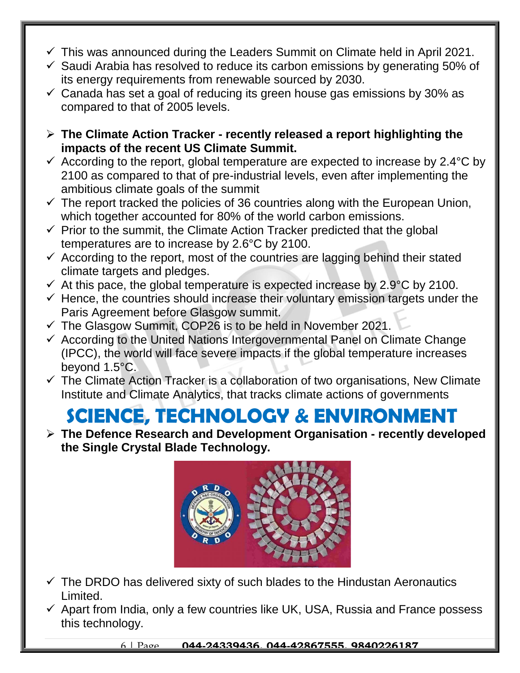- $\checkmark$  This was announced during the Leaders Summit on Climate held in April 2021.
- $\checkmark$  Saudi Arabia has resolved to reduce its carbon emissions by generating 50% of its energy requirements from renewable sourced by 2030.
- $\checkmark$  Canada has set a goal of reducing its green house gas emissions by 30% as compared to that of 2005 levels.
- **The Climate Action Tracker - recently released a report highlighting the impacts of the recent US Climate Summit.**
- $\checkmark$  According to the report, global temperature are expected to increase by 2.4 °C by 2100 as compared to that of pre-industrial levels, even after implementing the ambitious climate goals of the summit
- $\checkmark$  The report tracked the policies of 36 countries along with the European Union, which together accounted for 80% of the world carbon emissions.
- $\checkmark$  Prior to the summit, the Climate Action Tracker predicted that the global temperatures are to increase by 2.6°C by 2100.
- $\checkmark$  According to the report, most of the countries are lagging behind their stated climate targets and pledges.
- $\checkmark$  At this pace, the global temperature is expected increase by 2.9°C by 2100.
- $\checkmark$  Hence, the countries should increase their voluntary emission targets under the Paris Agreement before Glasgow summit.
- $\checkmark$  The Glasgow Summit, COP26 is to be held in November 2021.
- $\checkmark$  According to the United Nations Intergovernmental Panel on Climate Change (IPCC), the world will face severe impacts if the global temperature increases beyond 1.5°C.
- $\checkmark$  The Climate Action Tracker is a collaboration of two organisations, New Climate Institute and Climate Analytics, that tracks climate actions of governments

#### **SCIENCE, TECHNOLOGY & ENVIRONMENT**

 **The Defence Research and Development Organisation - recently developed the Single Crystal Blade Technology.** 



- $\checkmark$  The DRDO has delivered sixty of such blades to the Hindustan Aeronautics Limited.
- $\checkmark$  Apart from India, only a few countries like UK, USA, Russia and France possess this technology.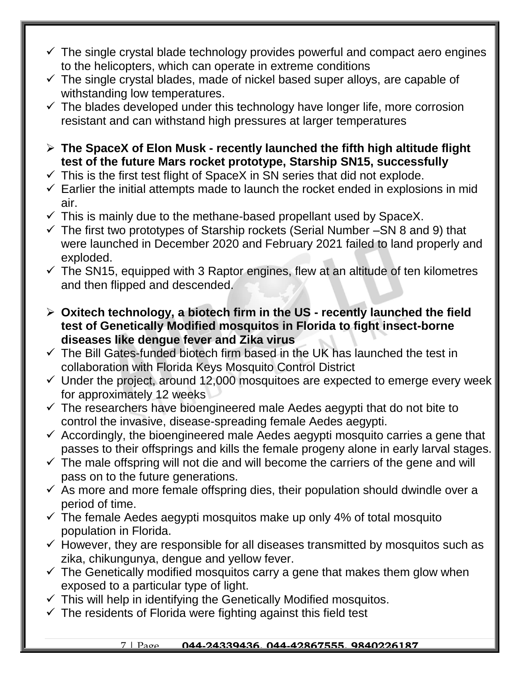- $\checkmark$  The single crystal blade technology provides powerful and compact aero engines to the helicopters, which can operate in extreme conditions
- $\checkmark$  The single crystal blades, made of nickel based super alloys, are capable of withstanding low temperatures.
- $\checkmark$  The blades developed under this technology have longer life, more corrosion resistant and can withstand high pressures at larger temperatures
- **The SpaceX of Elon Musk - recently launched the fifth high altitude flight test of the future Mars rocket prototype, Starship SN15, successfully**
- $\checkmark$  This is the first test flight of SpaceX in SN series that did not explode.
- $\checkmark$  Earlier the initial attempts made to launch the rocket ended in explosions in mid air.
- $\checkmark$  This is mainly due to the methane-based propellant used by SpaceX.
- $\checkmark$  The first two prototypes of Starship rockets (Serial Number –SN 8 and 9) that were launched in December 2020 and February 2021 failed to land properly and exploded.
- $\checkmark$  The SN15, equipped with 3 Raptor engines, flew at an altitude of ten kilometres and then flipped and descended.
- **Oxitech technology, a biotech firm in the US - recently launched the field test of Genetically Modified mosquitos in Florida to fight insect-borne diseases like dengue fever and Zika virus**
- $\checkmark$  The Bill Gates-funded biotech firm based in the UK has launched the test in collaboration with Florida Keys Mosquito Control District
- $\checkmark$  Under the project, around 12,000 mosquitoes are expected to emerge every week for approximately 12 weeks
- $\checkmark$  The researchers have bioengineered male Aedes aegypti that do not bite to control the invasive, disease-spreading female Aedes aegypti.
- $\checkmark$  Accordingly, the bioengineered male Aedes aegypti mosquito carries a gene that passes to their offsprings and kills the female progeny alone in early larval stages.
- $\checkmark$  The male offspring will not die and will become the carriers of the gene and will pass on to the future generations.
- $\checkmark$  As more and more female offspring dies, their population should dwindle over a period of time.
- $\checkmark$  The female Aedes aegypti mosquitos make up only 4% of total mosquito population in Florida.
- $\checkmark$  However, they are responsible for all diseases transmitted by mosquitos such as zika, chikungunya, dengue and yellow fever.
- $\checkmark$  The Genetically modified mosquitos carry a gene that makes them glow when exposed to a particular type of light.
- $\checkmark$  This will help in identifying the Genetically Modified mosquitos.
- $\checkmark$  The residents of Florida were fighting against this field test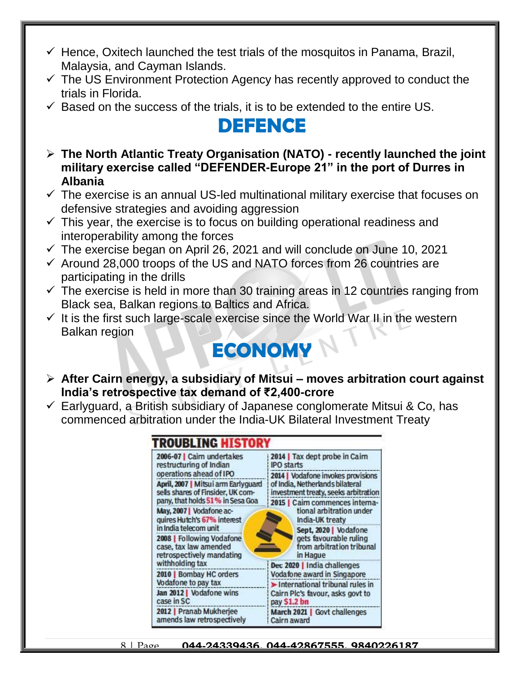- $\checkmark$  Hence, Oxitech launched the test trials of the mosquitos in Panama, Brazil, Malaysia, and Cayman Islands.
- $\checkmark$  The US Environment Protection Agency has recently approved to conduct the trials in Florida.
- $\checkmark$  Based on the success of the trials, it is to be extended to the entire US.

#### **DEFENCE**

- **The North Atlantic Treaty Organisation (NATO) - recently launched the joint military exercise called "DEFENDER-Europe 21" in the port of Durres in Albania**
- $\checkmark$  The exercise is an annual US-led multinational military exercise that focuses on defensive strategies and avoiding aggression
- $\checkmark$  This year, the exercise is to focus on building operational readiness and interoperability among the forces
- $\checkmark$  The exercise began on April 26, 2021 and will conclude on June 10, 2021
- $\checkmark$  Around 28,000 troops of the US and NATO forces from 26 countries are participating in the drills
- $\checkmark$  The exercise is held in more than 30 training areas in 12 countries ranging from Black sea, Balkan regions to Baltics and Africa.
- $\checkmark$  It is the first such large-scale exercise since the World War II in the western Balkan region

## **ECONOMY**

- **After Cairn energy, a subsidiary of Mitsui – moves arbitration court against India's retrospective tax demand of ₹2,400-crore**
- $\checkmark$  Earlyguard, a British subsidiary of Japanese conglomerate Mitsui & Co, has commenced arbitration under the India-UK Bilateral Investment Treaty

| FROUBLING HIST                                                                  |                                                                                                                                                                      |  |  |
|---------------------------------------------------------------------------------|----------------------------------------------------------------------------------------------------------------------------------------------------------------------|--|--|
| 2006-07   Cairn undertakes<br>restructuring of Indian                           | 2014   Tax dept probe in Cairn<br><b>IPO</b> starts<br>2014   Vodafone invokes provisions<br>of India, Netherlands bilateral<br>investment treaty, seeks arbitration |  |  |
| operations ahead of IPO                                                         |                                                                                                                                                                      |  |  |
| April, 2007   Mitsui arm Earlyguard<br>sells shares of Finsider, UK com-        |                                                                                                                                                                      |  |  |
| pany, that holds 51% in Sesa Goa                                                | 2015   Caim commences interna                                                                                                                                        |  |  |
| May, 2007   Vodafone ac-<br>quires Hutch's 67% interest                         | tional arbitration under<br>India-UK treaty                                                                                                                          |  |  |
| in India telecom unit                                                           | Sept, 2020   Vodafone                                                                                                                                                |  |  |
| 2008   Following Vodafone<br>case, tax law amended<br>retrospectively mandating | gets favourable ruling<br>from arbitration tribunal<br>in Hague                                                                                                      |  |  |
| withholding tax                                                                 | Dec 2020   India challenges<br>Vodafone award in Singapore<br>International tribunal rules in<br>Cairn Plc's favour, asks govt to<br>pay \$1.2 bn                    |  |  |
| 2010   Bombay HC orders                                                         |                                                                                                                                                                      |  |  |
| Vodafone to pay tax                                                             |                                                                                                                                                                      |  |  |
| Jan 2012   Vodafone wins<br>case in SC                                          |                                                                                                                                                                      |  |  |
| 2012   Pranab Mukherjee<br>amends law retrospectively                           | March 2021   Govt challenges<br>Cairn award                                                                                                                          |  |  |

8 | Page **044-24339436, 044-42867555, 9840226187**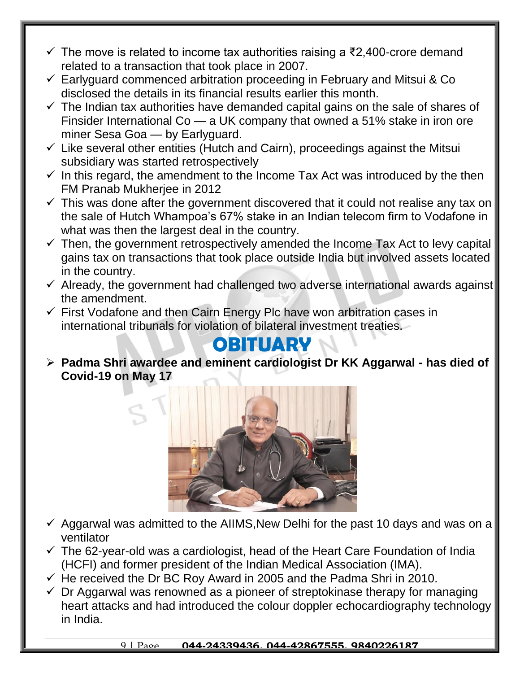- $\checkmark$  The move is related to income tax authorities raising a ₹2,400-crore demand related to a transaction that took place in 2007.
- $\checkmark$  Earlyguard commenced arbitration proceeding in February and Mitsui & Co disclosed the details in its financial results earlier this month.
- $\checkmark$  The Indian tax authorities have demanded capital gains on the sale of shares of Finsider International Co — a UK company that owned a 51% stake in iron ore miner Sesa Goa — by Earlyguard.
- $\checkmark$  Like several other entities (Hutch and Cairn), proceedings against the Mitsui subsidiary was started retrospectively
- $\checkmark$  In this regard, the amendment to the Income Tax Act was introduced by the then FM Pranab Mukherjee in 2012
- $\checkmark$  This was done after the government discovered that it could not realise any tax on the sale of Hutch Whampoa's 67% stake in an Indian telecom firm to Vodafone in what was then the largest deal in the country.
- $\checkmark$  Then, the government retrospectively amended the Income Tax Act to levy capital gains tax on transactions that took place outside India but involved assets located in the country.
- $\checkmark$  Already, the government had challenged two adverse international awards against the amendment.
- $\checkmark$  First Vodafone and then Cairn Energy Plc have won arbitration cases in international tribunals for violation of bilateral investment treaties.

#### **OBITUARY**

 **Padma Shri awardee and eminent cardiologist Dr KK Aggarwal - has died of Covid-19 on May 17**



- $\checkmark$  Aggarwal was admitted to the AIIMS, New Delhi for the past 10 days and was on a ventilator
- $\checkmark$  The 62-year-old was a cardiologist, head of the Heart Care Foundation of India (HCFI) and former president of the Indian Medical Association (IMA).
- $\checkmark$  He received the Dr BC Roy Award in 2005 and the Padma Shri in 2010.
- $\checkmark$  Dr Aggarwal was renowned as a pioneer of streptokinase therapy for managing heart attacks and had introduced the colour doppler echocardiography technology in India.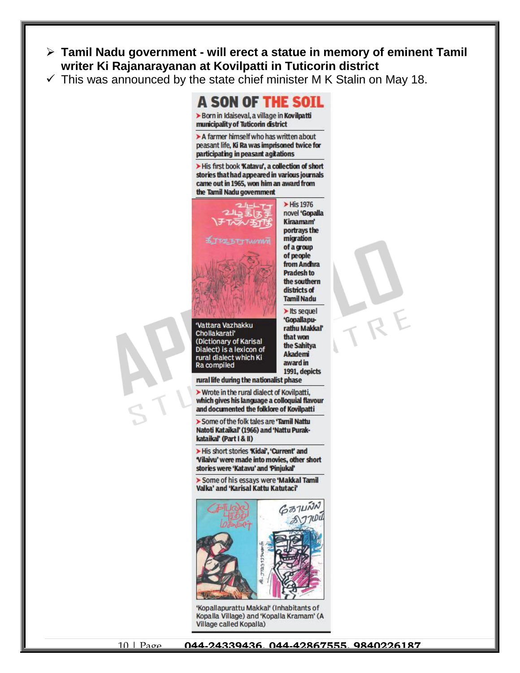- **Tamil Nadu government - will erect a statue in memory of eminent Tamil writer Ki Rajanarayanan at Kovilpatti in Tuticorin district**
- $\checkmark$  This was announced by the state chief minister M K Stalin on May 18.



> A farmer himself who has written about peasant life, Ki Ra was imprisoned twice for participating in peasant agitations

> His first book Katavu', a collection of short stories that had appeared in various journals came out in 1965, won him an award from the Tamil Nadu government



Vattara Vazhakku Chollakarati' (Dictionary of Karisal Dialect) is a lexicon of rural dialect which Ki Ra compiled

novel 'Gopalla Kiraamam' portrays the migration of a group of people from Andhra **Pradesh to** the southern districts of **Tamil Nadu** > Its sequel 'Gopallapu-

> His 1976

rathu Makkal' that won the Sahitya **Akademi** award in 1991, depicts

rural life during the nationalist phase

> Wrote in the rural dialect of Kovilpatti, which gives his language a colloquial flavour and documented the folklore of Kovilpatti

> Some of the folk tales are 'Tamil Nattu Natoti Kataikal' (1966) and 'Nattu Purakkataikal' (Part I & II)

> His short stories 'Kidai', 'Current' and Vilaivu' were made into movies, other short stories were 'Katavu' and 'Pinjukal'

> Some of his essays were 'Makkal Tamil Valka' and 'Karisal Kattu Katutaci'



'Kopallapurattu Makkal' (Inhabitants of Kopalla Village) and 'Kopalla Kramam' (A Village called Kopalla)